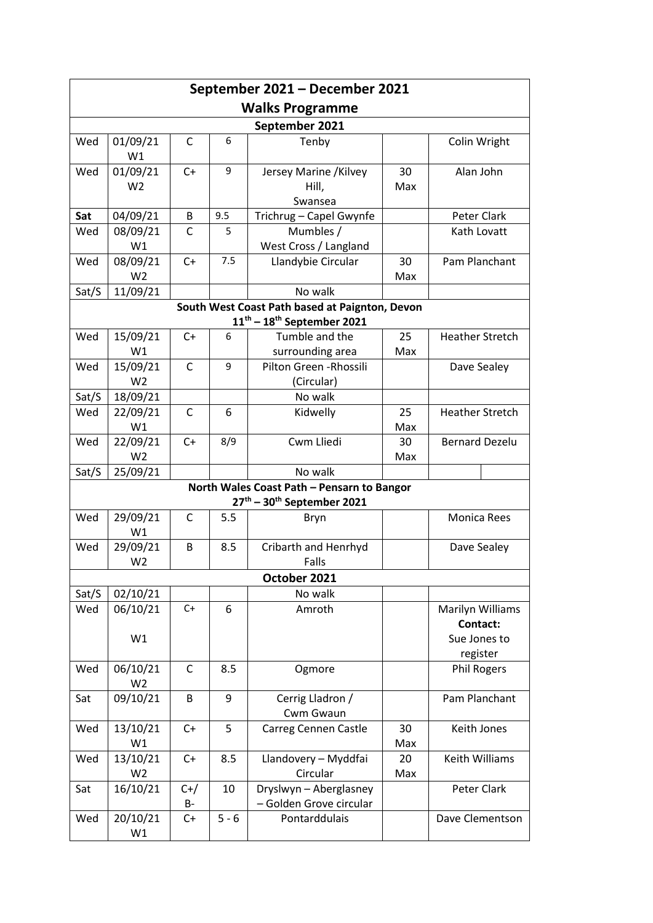| September 2021 – December 2021                                                 |                            |              |         |                                  |           |                              |  |  |
|--------------------------------------------------------------------------------|----------------------------|--------------|---------|----------------------------------|-----------|------------------------------|--|--|
| <b>Walks Programme</b>                                                         |                            |              |         |                                  |           |                              |  |  |
| September 2021                                                                 |                            |              |         |                                  |           |                              |  |  |
| Wed                                                                            | 01/09/21<br>W1             | $\mathsf{C}$ | 6       | Tenby                            |           | Colin Wright                 |  |  |
| Wed                                                                            | 01/09/21                   | $C+$         | 9       | Jersey Marine / Kilvey           | 30        | Alan John                    |  |  |
|                                                                                | W <sub>2</sub>             |              |         | Hill,                            | Max       |                              |  |  |
|                                                                                |                            |              |         | Swansea                          |           |                              |  |  |
| Sat                                                                            | 04/09/21                   | B            | 9.5     | Trichrug - Capel Gwynfe          |           | Peter Clark                  |  |  |
| Wed                                                                            | 08/09/21                   | C            | 5.      | Mumbles /                        |           | Kath Lovatt                  |  |  |
|                                                                                | W1                         |              |         | West Cross / Langland            |           |                              |  |  |
| Wed                                                                            | 08/09/21                   | $C+$         | 7.5     | Llandybie Circular               | 30        | Pam Planchant                |  |  |
|                                                                                | W <sub>2</sub>             |              |         |                                  | Max       |                              |  |  |
| Sat/S                                                                          | 11/09/21                   |              |         | No walk                          |           |                              |  |  |
| South West Coast Path based at Paignton, Devon<br>$11th - 18th$ September 2021 |                            |              |         |                                  |           |                              |  |  |
| Wed                                                                            | 15/09/21                   | $C+$         | 6       | Tumble and the                   | 25        | <b>Heather Stretch</b>       |  |  |
|                                                                                | W1                         |              |         | surrounding area                 | Max       |                              |  |  |
| Wed                                                                            | 15/09/21                   | $\mathsf{C}$ | 9       | Pilton Green - Rhossili          |           | Dave Sealey                  |  |  |
|                                                                                | W <sub>2</sub>             |              |         | (Circular)                       |           |                              |  |  |
| Sat/S                                                                          | 18/09/21                   |              |         | No walk                          |           |                              |  |  |
| Wed                                                                            | 22/09/21<br>W1             | $\mathsf{C}$ | 6       | Kidwelly                         | 25<br>Max | <b>Heather Stretch</b>       |  |  |
| Wed                                                                            | 22/09/21                   | $C+$         | 8/9     | Cwm Lliedi                       | 30        | <b>Bernard Dezelu</b>        |  |  |
|                                                                                | W <sub>2</sub>             |              |         |                                  | Max       |                              |  |  |
| Sat/S                                                                          | 25/09/21                   |              |         | No walk                          |           |                              |  |  |
| North Wales Coast Path - Pensarn to Bangor                                     |                            |              |         |                                  |           |                              |  |  |
| $27th - 30th$ September 2021                                                   |                            |              |         |                                  |           |                              |  |  |
| Wed                                                                            | 29/09/21<br>W1             | C            | 5.5     | Bryn                             |           | <b>Monica Rees</b>           |  |  |
| Wed                                                                            | 29/09/21<br>W <sub>2</sub> | B            | 8.5     | Cribarth and Henrhyd<br>Falls    |           | Dave Sealey                  |  |  |
| October 2021                                                                   |                            |              |         |                                  |           |                              |  |  |
| Sat/S                                                                          | 02/10/21                   |              |         | No walk                          |           |                              |  |  |
| Wed                                                                            | 06/10/21                   | $C+$         | 6       | Amroth                           |           | Marilyn Williams<br>Contact: |  |  |
|                                                                                | W1                         |              |         |                                  |           | Sue Jones to<br>register     |  |  |
| Wed                                                                            | 06/10/21<br>W <sub>2</sub> | $\mathsf C$  | 8.5     | Ogmore                           |           | <b>Phil Rogers</b>           |  |  |
| Sat                                                                            | 09/10/21                   | B            | 9       | Cerrig Lladron /<br>Cwm Gwaun    |           | Pam Planchant                |  |  |
| Wed                                                                            | 13/10/21<br>W1             | $C+$         | 5       | Carreg Cennen Castle             | 30<br>Max | Keith Jones                  |  |  |
| Wed                                                                            | 13/10/21<br>W <sub>2</sub> | C+           | 8.5     | Llandovery - Myddfai<br>Circular | 20<br>Max | Keith Williams               |  |  |
| Sat                                                                            | 16/10/21                   | $C+/-$       | 10      | Dryslwyn - Aberglasney           |           | Peter Clark                  |  |  |
|                                                                                |                            | <b>B-</b>    |         | - Golden Grove circular          |           |                              |  |  |
| Wed                                                                            | 20/10/21                   | $C+$         | $5 - 6$ | Pontarddulais                    |           | Dave Clementson              |  |  |
|                                                                                | W1                         |              |         |                                  |           |                              |  |  |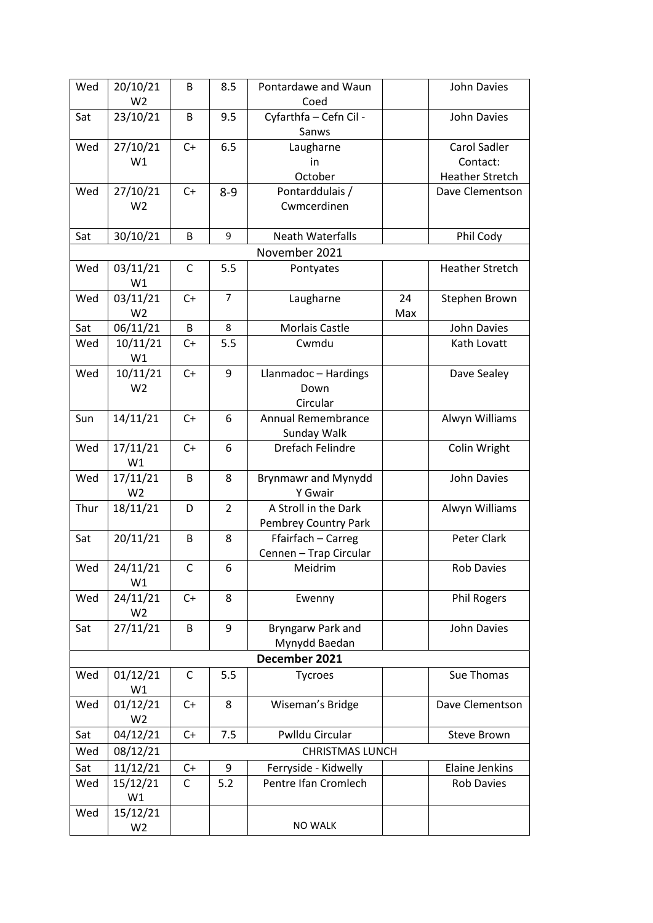| Wed                                                                                | 20/10/21       | B           | 8.5            | Pontardawe and Waun        |     | John Davies            |  |  |
|------------------------------------------------------------------------------------|----------------|-------------|----------------|----------------------------|-----|------------------------|--|--|
|                                                                                    | W <sub>2</sub> |             |                | Coed                       |     |                        |  |  |
| Sat                                                                                | 23/10/21       | B           | 9.5            | Cyfarthfa - Cefn Cil -     |     | <b>John Davies</b>     |  |  |
|                                                                                    |                |             |                | Sanws                      |     |                        |  |  |
| Wed                                                                                | 27/10/21       | $C+$        | 6.5            | Laugharne                  |     | Carol Sadler           |  |  |
|                                                                                    | W1             |             |                | in                         |     | Contact:               |  |  |
|                                                                                    |                |             |                | October                    |     | <b>Heather Stretch</b> |  |  |
| Wed                                                                                | 27/10/21       | $C+$        | $8 - 9$        | Pontarddulais /            |     | Dave Clementson        |  |  |
|                                                                                    | W <sub>2</sub> |             |                | Cwmcerdinen                |     |                        |  |  |
|                                                                                    |                |             |                |                            |     |                        |  |  |
| 9<br>Phil Cody<br>Sat<br>30/10/21<br>B<br><b>Neath Waterfalls</b><br>November 2021 |                |             |                |                            |     |                        |  |  |
| Wed                                                                                | 03/11/21       | $\mathsf C$ | 5.5            | Pontyates                  |     | <b>Heather Stretch</b> |  |  |
|                                                                                    | W1             |             |                |                            |     |                        |  |  |
| Wed                                                                                | 03/11/21       | $C+$        | $\overline{7}$ | Laugharne                  | 24  | Stephen Brown          |  |  |
|                                                                                    | W <sub>2</sub> |             |                |                            | Max |                        |  |  |
| Sat                                                                                | 06/11/21       | B           | 8              | Morlais Castle             |     | <b>John Davies</b>     |  |  |
| Wed                                                                                | 10/11/21       | $C+$        | 5.5            | Cwmdu                      |     | Kath Lovatt            |  |  |
|                                                                                    | W1             |             |                |                            |     |                        |  |  |
| Wed                                                                                | 10/11/21       | $C+$        | 9              | Llanmadoc - Hardings       |     | Dave Sealey            |  |  |
|                                                                                    | W <sub>2</sub> |             |                | Down                       |     |                        |  |  |
|                                                                                    |                |             |                | Circular                   |     |                        |  |  |
| Sun                                                                                | 14/11/21       | $C+$        | 6              | Annual Remembrance         |     | Alwyn Williams         |  |  |
|                                                                                    |                |             |                | Sunday Walk                |     |                        |  |  |
| Wed                                                                                | 17/11/21       | $C+$        | 6              | Drefach Felindre           |     | Colin Wright           |  |  |
|                                                                                    | W1             |             |                |                            |     |                        |  |  |
| Wed                                                                                | 17/11/21       | B           | 8              | <b>Brynmawr and Mynydd</b> |     | John Davies            |  |  |
|                                                                                    | W <sub>2</sub> |             |                | Y Gwair                    |     |                        |  |  |
| Thur                                                                               | 18/11/21       | D           | $\overline{2}$ | A Stroll in the Dark       |     | Alwyn Williams         |  |  |
|                                                                                    |                |             |                | Pembrey Country Park       |     |                        |  |  |
| Sat                                                                                | 20/11/21       | B           | 8              | Ffairfach - Carreg         |     | Peter Clark            |  |  |
|                                                                                    |                |             |                | Cennen - Trap Circular     |     |                        |  |  |
| Wed                                                                                | 24/11/21<br>W1 | C           | 6              | Meidrim                    |     | Rob Davies             |  |  |
| Wed                                                                                | 24/11/21       | $C+$        | 8              | Ewenny                     |     | <b>Phil Rogers</b>     |  |  |
|                                                                                    | W <sub>2</sub> |             |                |                            |     |                        |  |  |
| Sat                                                                                | 27/11/21       | B           | 9              | Bryngarw Park and          |     | John Davies            |  |  |
|                                                                                    |                |             |                | Mynydd Baedan              |     |                        |  |  |
|                                                                                    | December 2021  |             |                |                            |     |                        |  |  |
| Wed                                                                                | 01/12/21       | C           | 5.5            | Tycroes                    |     | Sue Thomas             |  |  |
|                                                                                    | W1             |             |                |                            |     |                        |  |  |
| Wed                                                                                | 01/12/21       | C+          | 8              | Wiseman's Bridge           |     | Dave Clementson        |  |  |
|                                                                                    | W <sub>2</sub> |             |                |                            |     |                        |  |  |
| Sat                                                                                | 04/12/21       | $C+$        | 7.5            | Pwlldu Circular            |     | Steve Brown            |  |  |
| Wed                                                                                | 08/12/21       |             |                | <b>CHRISTMAS LUNCH</b>     |     |                        |  |  |
| Sat                                                                                | 11/12/21       | $C+$        | 9              | Ferryside - Kidwelly       |     | Elaine Jenkins         |  |  |
| Wed                                                                                | 15/12/21       | C           | 5.2            | Pentre Ifan Cromlech       |     | <b>Rob Davies</b>      |  |  |
|                                                                                    | W1             |             |                |                            |     |                        |  |  |
| Wed                                                                                | 15/12/21       |             |                |                            |     |                        |  |  |
|                                                                                    | W <sub>2</sub> |             |                | <b>NO WALK</b>             |     |                        |  |  |